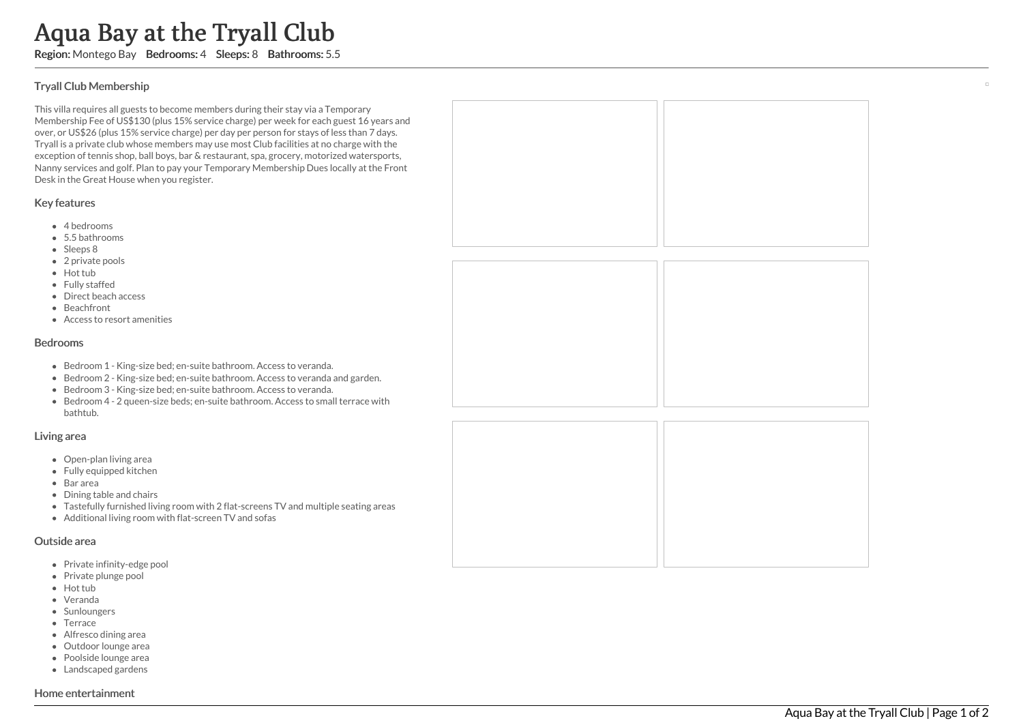# Aqua Bay at the Tryall Club

Region: Montego Bay Bedrooms: 4 Sleeps: 8 Bathrooms: 5.5

## T ry all Clu b M e m b e r s hip

This villa requires all guests to become members during their stay via a Temporary Membership Fee of US\$130 (plus 15% service charge) per week for each guest 16 years and over, or US\$26 (plus 15% service charge) per day per person for stays of less than 7 days. Tryall is a private club whose members may use most Club facilities at no charge with the exception of tennis shop, ball boys, bar & restaurant, spa, grocery, motorized watersports, Nanny services and golf. Plan to pay your Temporary Membership Dues locally at the Fron t Desk in the Great House when you register.

## Key features

- 4 bedrooms
- 5.5 bathrooms
- Sleeps 8
- 2 private pools
- Hot tub
- Fully staffed
- Direct beach access
- Beachfront
- Access to resort amenities

#### Bedrooms

- Bedroom 1 King-size bed; en-suite bathroom. Access to veranda.
- Bedroom 2 King-size bed; en-suite bathroom. Access to veranda and garden.
- Bedroom 3 King-size bed; en-suite bathroom. Access to veranda.
- Bedroom 4 2 queen-size beds; en-suite bathroom. Access to small terrace wit h bathtub.

#### Living area

- Open-plan living area
- Fully equipped kitchen
- Bar area
- Dining table and chairs
- Tastefully furnished living room with 2 flat-screens TV and multiple seating areas
- Additional living room with flat-screen TV and sofas

#### Outside area

- Private infinity-edge pool
- Private plunge pool
- Hot tub
- Veranda
- Sunloungers
- Terrace
- Alfresco dining area
- Outdoor lounge area
- Poolside lounge area
- Landscaped gardens